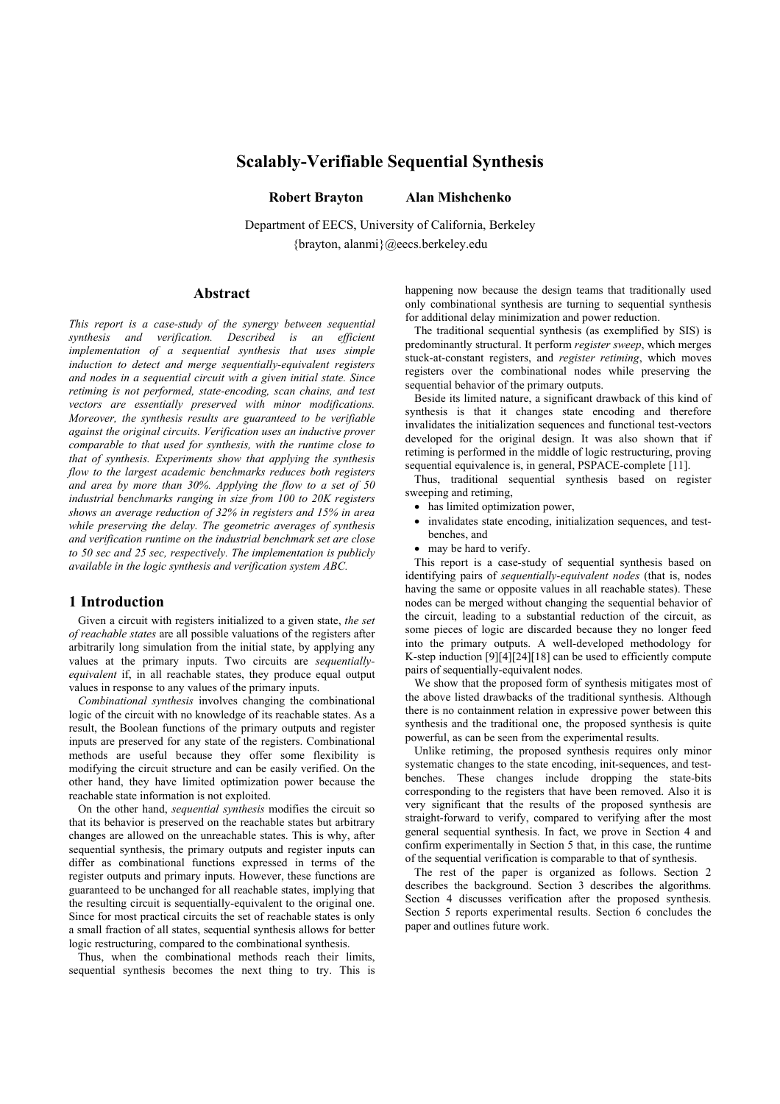# **Scalably-Verifiable Sequential Synthesis**

**Robert Brayton Alan Mishchenko** 

Department of EECS, University of California, Berkeley {brayton, alanmi}@eecs.berkeley.edu

# **Abstract**

*This report is a case-study of the synergy between sequential synthesis and verification. Described is an efficient implementation of a sequential synthesis that uses simple induction to detect and merge sequentially-equivalent registers and nodes in a sequential circuit with a given initial state. Since retiming is not performed, state-encoding, scan chains, and test vectors are essentially preserved with minor modifications. Moreover, the synthesis results are guaranteed to be verifiable against the original circuits. Verification uses an inductive prover comparable to that used for synthesis, with the runtime close to that of synthesis. Experiments show that applying the synthesis flow to the largest academic benchmarks reduces both registers and area by more than 30%. Applying the flow to a set of 50 industrial benchmarks ranging in size from 100 to 20K registers shows an average reduction of 32% in registers and 15% in area while preserving the delay. The geometric averages of synthesis and verification runtime on the industrial benchmark set are close to 50 sec and 25 sec, respectively. The implementation is publicly available in the logic synthesis and verification system ABC.* 

# **1 Introduction**

Given a circuit with registers initialized to a given state, *the set of reachable states* are all possible valuations of the registers after arbitrarily long simulation from the initial state, by applying any values at the primary inputs. Two circuits are *sequentiallyequivalent* if, in all reachable states, they produce equal output values in response to any values of the primary inputs.

*Combinational synthesis* involves changing the combinational logic of the circuit with no knowledge of its reachable states. As a result, the Boolean functions of the primary outputs and register inputs are preserved for any state of the registers. Combinational methods are useful because they offer some flexibility is modifying the circuit structure and can be easily verified. On the other hand, they have limited optimization power because the reachable state information is not exploited.

On the other hand, *sequential synthesis* modifies the circuit so that its behavior is preserved on the reachable states but arbitrary changes are allowed on the unreachable states. This is why, after sequential synthesis, the primary outputs and register inputs can differ as combinational functions expressed in terms of the register outputs and primary inputs. However, these functions are guaranteed to be unchanged for all reachable states, implying that the resulting circuit is sequentially-equivalent to the original one. Since for most practical circuits the set of reachable states is only a small fraction of all states, sequential synthesis allows for better logic restructuring, compared to the combinational synthesis.

Thus, when the combinational methods reach their limits, sequential synthesis becomes the next thing to try. This is happening now because the design teams that traditionally used only combinational synthesis are turning to sequential synthesis for additional delay minimization and power reduction.

The traditional sequential synthesis (as exemplified by SIS) is predominantly structural. It perform *register sweep*, which merges stuck-at-constant registers, and *register retiming*, which moves registers over the combinational nodes while preserving the sequential behavior of the primary outputs.

Beside its limited nature, a significant drawback of this kind of synthesis is that it changes state encoding and therefore invalidates the initialization sequences and functional test-vectors developed for the original design. It was also shown that if retiming is performed in the middle of logic restructuring, proving sequential equivalence is, in general, PSPACE-complete [11].

Thus, traditional sequential synthesis based on register sweeping and retiming,

- has limited optimization power,
- invalidates state encoding, initialization sequences, and testbenches, and
- may be hard to verify.

This report is a case-study of sequential synthesis based on identifying pairs of *sequentially-equivalent nodes* (that is, nodes having the same or opposite values in all reachable states). These nodes can be merged without changing the sequential behavior of the circuit, leading to a substantial reduction of the circuit, as some pieces of logic are discarded because they no longer feed into the primary outputs. A well-developed methodology for K-step induction [9][4][24][18] can be used to efficiently compute pairs of sequentially-equivalent nodes.

We show that the proposed form of synthesis mitigates most of the above listed drawbacks of the traditional synthesis. Although there is no containment relation in expressive power between this synthesis and the traditional one, the proposed synthesis is quite powerful, as can be seen from the experimental results.

Unlike retiming, the proposed synthesis requires only minor systematic changes to the state encoding, init-sequences, and testbenches. These changes include dropping the state-bits corresponding to the registers that have been removed. Also it is very significant that the results of the proposed synthesis are straight-forward to verify, compared to verifying after the most general sequential synthesis. In fact, we prove in Section 4 and confirm experimentally in Section 5 that, in this case, the runtime of the sequential verification is comparable to that of synthesis.

The rest of the paper is organized as follows. Section 2 describes the background. Section 3 describes the algorithms. Section 4 discusses verification after the proposed synthesis. Section 5 reports experimental results. Section 6 concludes the paper and outlines future work.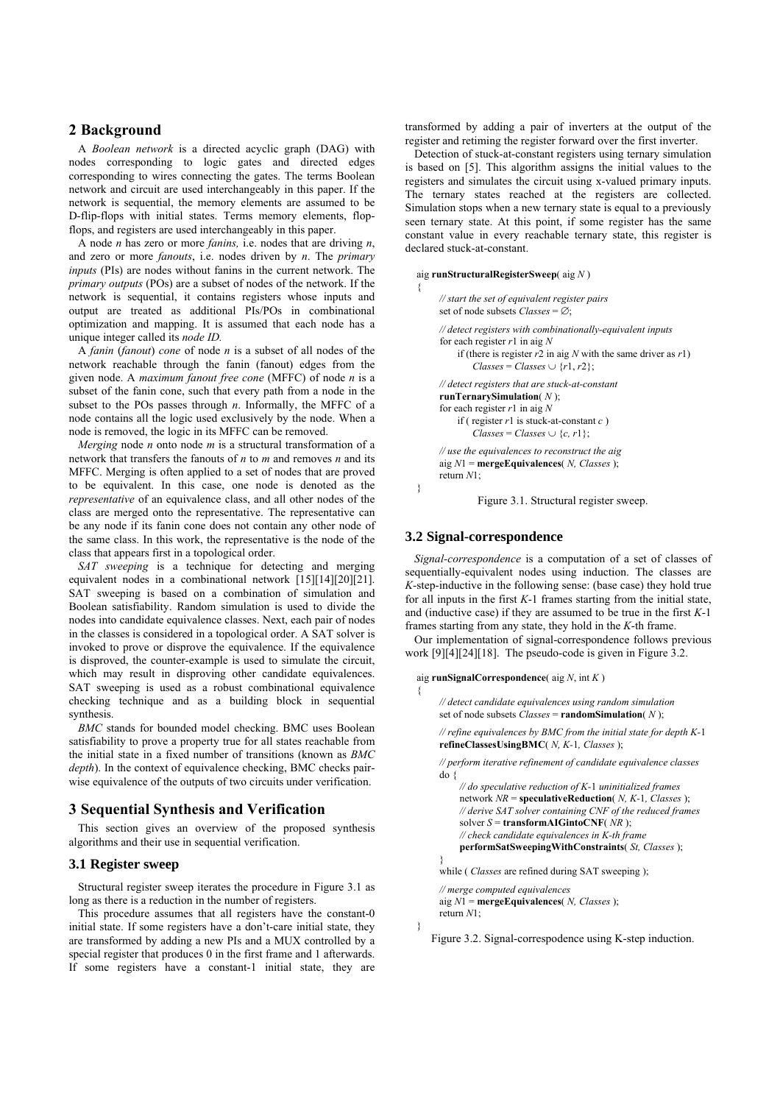# **2 Background**

A *Boolean network* is a directed acyclic graph (DAG) with nodes corresponding to logic gates and directed edges corresponding to wires connecting the gates. The terms Boolean network and circuit are used interchangeably in this paper. If the network is sequential, the memory elements are assumed to be D-flip-flops with initial states. Terms memory elements, flopflops, and registers are used interchangeably in this paper.

A node *n* has zero or more *fanins,* i.e. nodes that are driving *n*, and zero or more *fanouts*, i.e. nodes driven by *n*. The *primary inputs* (PIs) are nodes without fanins in the current network. The *primary outputs* (POs) are a subset of nodes of the network. If the network is sequential, it contains registers whose inputs and output are treated as additional PIs/POs in combinational optimization and mapping. It is assumed that each node has a unique integer called its *node ID.* 

A *fanin* (*fanout*) *cone* of node *n* is a subset of all nodes of the network reachable through the fanin (fanout) edges from the given node. A *maximum fanout free cone* (MFFC) of node *n* is a subset of the fanin cone, such that every path from a node in the subset to the POs passes through *n*. Informally, the MFFC of a node contains all the logic used exclusively by the node. When a node is removed, the logic in its MFFC can be removed.

*Merging* node *n* onto node *m* is a structural transformation of a network that transfers the fanouts of *n* to *m* and removes *n* and its MFFC. Merging is often applied to a set of nodes that are proved to be equivalent. In this case, one node is denoted as the *representative* of an equivalence class, and all other nodes of the class are merged onto the representative. The representative can be any node if its fanin cone does not contain any other node of the same class. In this work, the representative is the node of the class that appears first in a topological order.

*SAT sweeping* is a technique for detecting and merging equivalent nodes in a combinational network [15][14][20][21]. SAT sweeping is based on a combination of simulation and Boolean satisfiability. Random simulation is used to divide the nodes into candidate equivalence classes. Next, each pair of nodes in the classes is considered in a topological order. A SAT solver is invoked to prove or disprove the equivalence. If the equivalence is disproved, the counter-example is used to simulate the circuit, which may result in disproving other candidate equivalences. SAT sweeping is used as a robust combinational equivalence checking technique and as a building block in sequential synthesis.

*BMC* stands for bounded model checking. BMC uses Boolean satisfiability to prove a property true for all states reachable from the initial state in a fixed number of transitions (known as *BMC depth*). In the context of equivalence checking, BMC checks pairwise equivalence of the outputs of two circuits under verification.

### **3 Sequential Synthesis and Verification**

This section gives an overview of the proposed synthesis algorithms and their use in sequential verification.

### **3.1 Register sweep**

Structural register sweep iterates the procedure in Figure 3.1 as long as there is a reduction in the number of registers.

This procedure assumes that all registers have the constant-0 initial state. If some registers have a don't-care initial state, they are transformed by adding a new PIs and a MUX controlled by a special register that produces 0 in the first frame and 1 afterwards. If some registers have a constant-1 initial state, they are transformed by adding a pair of inverters at the output of the register and retiming the register forward over the first inverter.

Detection of stuck-at-constant registers using ternary simulation is based on [5]. This algorithm assigns the initial values to the registers and simulates the circuit using x-valued primary inputs. The ternary states reached at the registers are collected. Simulation stops when a new ternary state is equal to a previously seen ternary state. At this point, if some register has the same constant value in every reachable ternary state, this register is declared stuck-at-constant.

#### aig **runStructuralRegisterSweep**( aig *N* ) {

```
 // start the set of equivalent register pairs 
 set of node subsets Classes = ∅; 
 // detect registers with combinationally-equivalent inputs 
for each register r1 in aig N
    if (there is register r^2 in aig N with the same driver as r1)
        Classes = Classes \cup \{r1, r2\}; // detect registers that are stuck-at-constant 
 runTernarySimulation( N ); 
 for each register r1 in aig N
    if ( register r1 is stuck-at-constant c )
        Classes = Classes \cup \{c, r1\}; // use the equivalences to reconstruct the aig 
 aig N1 = mergeEquivalences( N, Classes ); 
 return N1;
```
}

Figure 3.1. Structural register sweep.

### **3.2 Signal-correspondence**

*Signal-correspondence* is a computation of a set of classes of sequentially-equivalent nodes using induction. The classes are *K*-step-inductive in the following sense: (base case) they hold true for all inputs in the first *K*-1 frames starting from the initial state, and (inductive case) if they are assumed to be true in the first *K*-1 frames starting from any state, they hold in the *K*-th frame.

Our implementation of signal-correspondence follows previous work  $[9][4][24][18]$ . The pseudo-code is given in Figure 3.2.

#### aig **runSignalCorrespondence**( aig *N*, int *K* )

{

}

 *// detect candidate equivalences using random simulation*  set of node subsets  $Classes = \text{randomSimulation}( N )$ ;

 *// refine equivalences by BMC from the initial state for depth K-*1 **refineClassesUsingBMC**( *N, K-*1*, Classes* );

```
 // perform iterative refinement of candidate equivalence classes 
 do { 
      // do speculative reduction of K-1 uninitialized frames
```

```
 network NR = speculativeReduction( N, K-1, Classes ); 
          // derive SAT solver containing CNF of the reduced frames 
          solver S = transformAIGintoCNF( NR ); 
          // check candidate equivalences in K-th frame 
          performSatSweepingWithConstraints( St, Classes ); 
\rightarrow while ( Classes are refined during SAT sweeping );
```

```
 // merge computed equivalences 
 aig N1 = mergeEquivalences( N, Classes ); 
 return N1;
```
Figure 3.2. Signal-correspodence using K-step induction.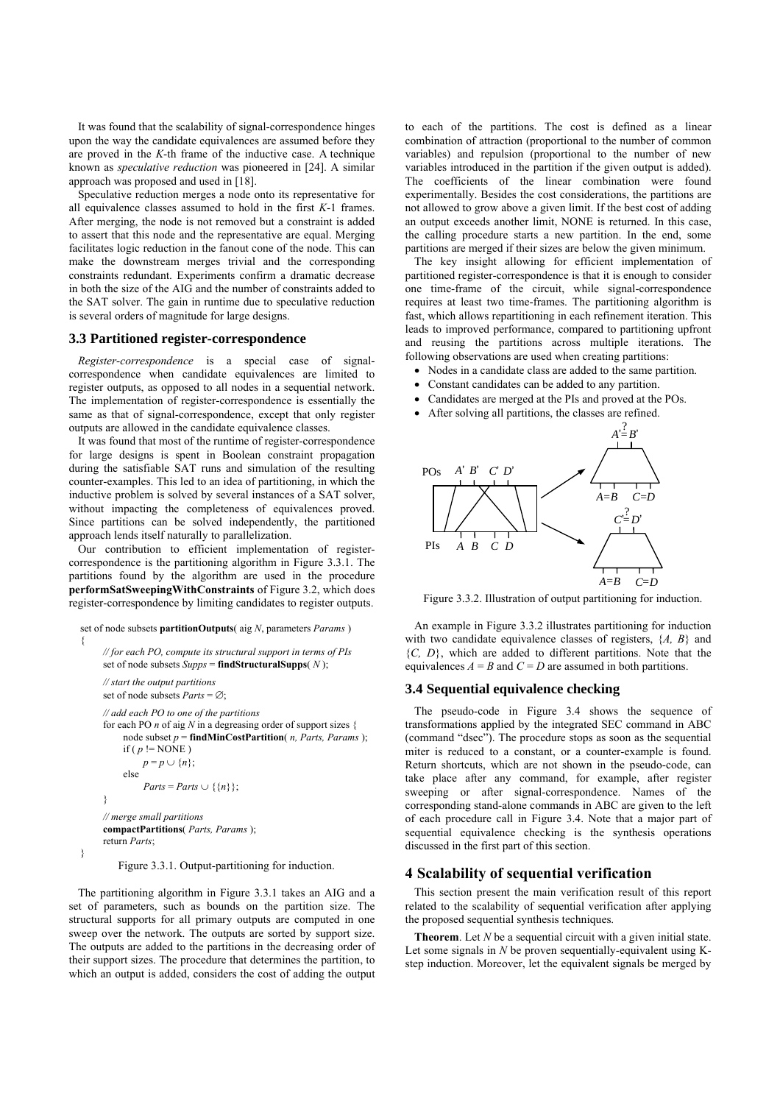It was found that the scalability of signal-correspondence hinges upon the way the candidate equivalences are assumed before they are proved in the *K*-th frame of the inductive case. A technique known as *speculative reduction* was pioneered in [24]. A similar approach was proposed and used in [18].

Speculative reduction merges a node onto its representative for all equivalence classes assumed to hold in the first *K*-1 frames. After merging, the node is not removed but a constraint is added to assert that this node and the representative are equal. Merging facilitates logic reduction in the fanout cone of the node. This can make the downstream merges trivial and the corresponding constraints redundant. Experiments confirm a dramatic decrease in both the size of the AIG and the number of constraints added to the SAT solver. The gain in runtime due to speculative reduction is several orders of magnitude for large designs.

### **3.3 Partitioned register-correspondence**

*Register-correspondence* is a special case of signalcorrespondence when candidate equivalences are limited to register outputs, as opposed to all nodes in a sequential network. The implementation of register-correspondence is essentially the same as that of signal-correspondence, except that only register outputs are allowed in the candidate equivalence classes.

It was found that most of the runtime of register-correspondence for large designs is spent in Boolean constraint propagation during the satisfiable SAT runs and simulation of the resulting counter-examples. This led to an idea of partitioning, in which the inductive problem is solved by several instances of a SAT solver, without impacting the completeness of equivalences proved. Since partitions can be solved independently, the partitioned approach lends itself naturally to parallelization.

Our contribution to efficient implementation of registercorrespondence is the partitioning algorithm in Figure 3.3.1. The partitions found by the algorithm are used in the procedure **performSatSweepingWithConstraints** of Figure 3.2, which does register-correspondence by limiting candidates to register outputs.

```
set of node subsets partitionOutputs( aig N, parameters Params ) 
{ 
      // for each PO, compute its structural support in terms of PIs 
      set of node subsets Supps = findStructuralSupps( N ); 
      // start the output partitions 
      set of node subsets Parts = ∅; 
      // add each PO to one of the partitions 
      for each PO n of aig N in a degreasing order of support sizes {
```

```
 node subset p = findMinCostPartition( n, Parts, Params ); 
     if (p != NONE)
          p = p \cup \{n\}; else 
          Parts = Parts \cup \{\{n\}\}; } 
 // merge small partitions 
 compactPartitions( Parts, Params );
```
return *Parts*;

}

Figure 3.3.1. Output-partitioning for induction.

The partitioning algorithm in Figure 3.3.1 takes an AIG and a set of parameters, such as bounds on the partition size. The structural supports for all primary outputs are computed in one sweep over the network. The outputs are sorted by support size. The outputs are added to the partitions in the decreasing order of their support sizes. The procedure that determines the partition, to which an output is added, considers the cost of adding the output to each of the partitions. The cost is defined as a linear combination of attraction (proportional to the number of common variables) and repulsion (proportional to the number of new variables introduced in the partition if the given output is added). The coefficients of the linear combination were found experimentally. Besides the cost considerations, the partitions are not allowed to grow above a given limit. If the best cost of adding an output exceeds another limit, NONE is returned. In this case, the calling procedure starts a new partition. In the end, some partitions are merged if their sizes are below the given minimum.

The key insight allowing for efficient implementation of partitioned register-correspondence is that it is enough to consider one time-frame of the circuit, while signal-correspondence requires at least two time-frames. The partitioning algorithm is fast, which allows repartitioning in each refinement iteration. This leads to improved performance, compared to partitioning upfront and reusing the partitions across multiple iterations. The following observations are used when creating partitions:

- Nodes in a candidate class are added to the same partition.
- Constant candidates can be added to any partition.
- Candidates are merged at the PIs and proved at the POs.
- After solving all partitions, the classes are refined.



Figure 3.3.2. Illustration of output partitioning for induction.

An example in Figure 3.3.2 illustrates partitioning for induction with two candidate equivalence classes of registers, {*A, B*} and  ${C, D}$ , which are added to different partitions. Note that the equivalences  $A = B$  and  $C = D$  are assumed in both partitions.

#### **3.4 Sequential equivalence checking**

The pseudo-code in Figure 3.4 shows the sequence of transformations applied by the integrated SEC command in ABC (command "dsec"). The procedure stops as soon as the sequential miter is reduced to a constant, or a counter-example is found. Return shortcuts, which are not shown in the pseudo-code, can take place after any command, for example, after register sweeping or after signal-correspondence. Names of the corresponding stand-alone commands in ABC are given to the left of each procedure call in Figure 3.4. Note that a major part of sequential equivalence checking is the synthesis operations discussed in the first part of this section.

#### **4 Scalability of sequential verification**

This section present the main verification result of this report related to the scalability of sequential verification after applying the proposed sequential synthesis techniques.

**Theorem**. Let *N* be a sequential circuit with a given initial state. Let some signals in *N* be proven sequentially-equivalent using Kstep induction. Moreover, let the equivalent signals be merged by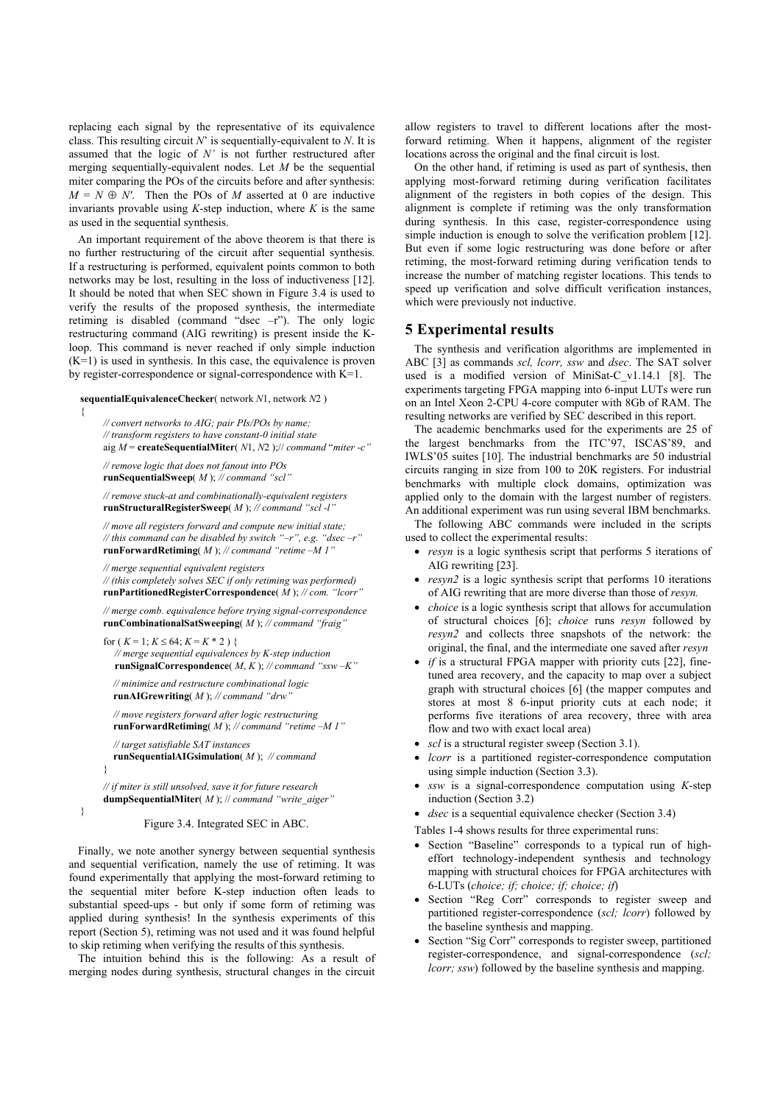replacing each signal by the representative of its equivalence class. This resulting circuit *N*' is sequentially-equivalent to *N*. It is assumed that the logic of *N'* is not further restructured after merging sequentially-equivalent nodes. Let *M* be the sequential miter comparing the POs of the circuits before and after synthesis:  $M = N \oplus N'$ . Then the POs of *M* asserted at 0 are inductive invariants provable using  $K$ -step induction, where  $K$  is the same as used in the sequential synthesis.

An important requirement of the above theorem is that there is no further restructuring of the circuit after sequential synthesis. If a restructuring is performed, equivalent points common to both networks may be lost, resulting in the loss of inductiveness [12]. It should be noted that when SEC shown in Figure 3.4 is used to verify the results of the proposed synthesis, the intermediate retiming is disabled (command "dsec  $-r$ "). The only logic restructuring command (AIG rewriting) is present inside the Kloop. This command is never reached if only simple induction  $(K=1)$  is used in synthesis. In this case, the equivalence is proven by register-correspondence or signal-correspondence with K=1.

**sequentialEquivalenceChecker**( network *N*1, network *N*2 )

{

*// convert networks to AIG; pair PIs/POs by name; // transform registers to have constant-0 initial state*  aig *M* = **createSequentialMiter**( *N*1, *N*2 );// *command* "*miter -c"*

*// remove logic that does not fanout into POs*  **runSequentialSweep**( *M* ); *// command "scl"*

*// remove stuck-at and combinationally-equivalent registers*  **runStructuralRegisterSweep**( *M* ); *// command "scl -l"* 

*// move all registers forward and compute new initial state; // this command can be disabled by switch "–r", e.g. "dsec –r"*  **runForwardRetiming**( *M* ); *// command "retime –M 1"*

*// merge sequential equivalent registers* 

*// (this completely solves SEC if only retiming was performed)*  **runPartitionedRegisterCorrespondence**( *M* ); *// com. "lcorr"*

*// merge comb. equivalence before trying signal-correspondence*  **runCombinationalSatSweeping**( *M* ); *// command "fraig"*

for  $(K = 1: K \le 64: K = K * 2)$  { *// merge sequential equivalences by K-step induction*  **runSignalCorrespondence**( *M*, *K* ); *// command "ssw –K"* 

 *// minimize and restructure combinational logic*  **runAIGrewriting**( *M* ); *// command "drw"*

 *// move registers forward after logic restructuring*  **runForwardRetiming**( *M* ); *// command "retime –M 1"*

 *// target satisfiable SAT instances*  **runSequentialAIGsimulation**( *M* ); *// command*

*// if miter is still unsolved, save it for future research*  **dumpSequentialMiter**( *M* ); // *command "write\_aiger"*

}

}

Figure 3.4. Integrated SEC in ABC.

Finally, we note another synergy between sequential synthesis and sequential verification, namely the use of retiming. It was found experimentally that applying the most-forward retiming to the sequential miter before K-step induction often leads to substantial speed-ups - but only if some form of retiming was applied during synthesis! In the synthesis experiments of this report (Section 5), retiming was not used and it was found helpful to skip retiming when verifying the results of this synthesis.

The intuition behind this is the following: As a result of merging nodes during synthesis, structural changes in the circuit allow registers to travel to different locations after the mostforward retiming. When it happens, alignment of the register locations across the original and the final circuit is lost.

On the other hand, if retiming is used as part of synthesis, then applying most-forward retiming during verification facilitates alignment of the registers in both copies of the design. This alignment is complete if retiming was the only transformation during synthesis. In this case, register-correspondence using simple induction is enough to solve the verification problem [12]. But even if some logic restructuring was done before or after retiming, the most-forward retiming during verification tends to increase the number of matching register locations. This tends to speed up verification and solve difficult verification instances, which were previously not inductive.

# **5 Experimental results**

The synthesis and verification algorithms are implemented in ABC [3] as commands *scl, lcorr, ssw* and *dsec*. The SAT solver used is a modified version of MiniSat-C\_v1.14.1 [8]. The experiments targeting FPGA mapping into 6-input LUTs were run on an Intel Xeon 2-CPU 4-core computer with 8Gb of RAM. The resulting networks are verified by SEC described in this report.

The academic benchmarks used for the experiments are 25 of the largest benchmarks from the ITC'97, ISCAS'89, and IWLS'05 suites [10]. The industrial benchmarks are 50 industrial circuits ranging in size from 100 to 20K registers. For industrial benchmarks with multiple clock domains, optimization was applied only to the domain with the largest number of registers. An additional experiment was run using several IBM benchmarks.

The following ABC commands were included in the scripts used to collect the experimental results:

- *resyn* is a logic synthesis script that performs 5 iterations of AIG rewriting [23].
- *resyn2* is a logic synthesis script that performs 10 iterations of AIG rewriting that are more diverse than those of *resyn.*
- *choice* is a logic synthesis script that allows for accumulation of structural choices [6]; *choice* runs *resyn* followed by *resyn2* and collects three snapshots of the network: the original, the final, and the intermediate one saved after *resyn*
- *if* is a structural FPGA mapper with priority cuts [22], finetuned area recovery, and the capacity to map over a subject graph with structural choices [6] (the mapper computes and stores at most 8 6-input priority cuts at each node; it performs five iterations of area recovery, three with area flow and two with exact local area)
- *scl* is a structural register sweep (Section 3.1).
- *lcorr* is a partitioned register-correspondence computation using simple induction (Section 3.3).
- *ssw* is a signal-correspondence computation using *K*-step induction (Section 3.2)
- *dsec* is a sequential equivalence checker (Section 3.4)

Tables 1-4 shows results for three experimental runs:

- Section "Baseline" corresponds to a typical run of higheffort technology-independent synthesis and technology mapping with structural choices for FPGA architectures with 6-LUTs (*choice; if; choice; if; choice; if*)
- Section "Reg Corr" corresponds to register sweep and partitioned register-correspondence (*scl; lcorr*) followed by the baseline synthesis and mapping.
- Section "Sig Corr" corresponds to register sweep, partitioned register-correspondence, and signal-correspondence (*scl; lcorr; ssw*) followed by the baseline synthesis and mapping.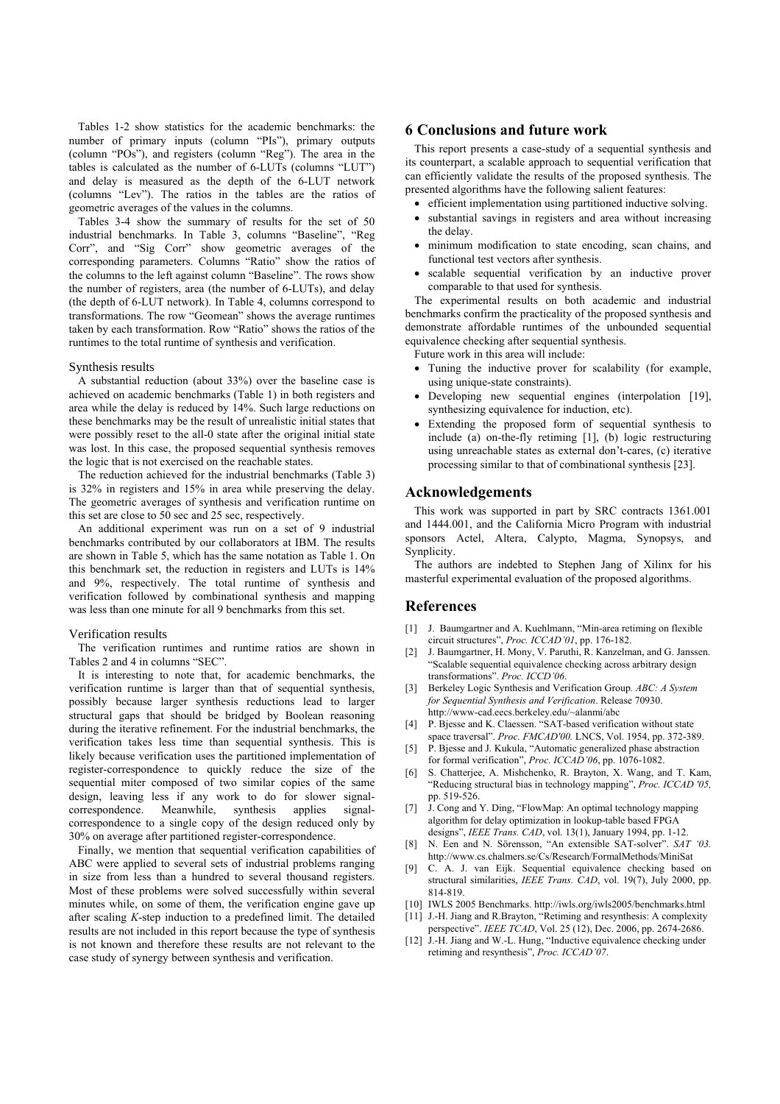Tables 1-2 show statistics for the academic benchmarks: the number of primary inputs (column "PIs"), primary outputs (column "POs"), and registers (column "Reg"). The area in the tables is calculated as the number of 6-LUTs (columns "LUT") and delay is measured as the depth of the 6-LUT network (columns "Lev"). The ratios in the tables are the ratios of geometric averages of the values in the columns.

Tables 3-4 show the summary of results for the set of 50 industrial benchmarks. In Table 3, columns "Baseline", "Reg Corr", and "Sig Corr" show geometric averages of the corresponding parameters. Columns "Ratio" show the ratios of the columns to the left against column "Baseline". The rows show the number of registers, area (the number of 6-LUTs), and delay (the depth of 6-LUT network). In Table 4, columns correspond to transformations. The row "Geomean" shows the average runtimes taken by each transformation. Row "Ratio" shows the ratios of the runtimes to the total runtime of synthesis and verification.

#### Synthesis results

A substantial reduction (about 33%) over the baseline case is achieved on academic benchmarks (Table 1) in both registers and area while the delay is reduced by 14%. Such large reductions on these benchmarks may be the result of unrealistic initial states that were possibly reset to the all-0 state after the original initial state was lost. In this case, the proposed sequential synthesis removes the logic that is not exercised on the reachable states.

The reduction achieved for the industrial benchmarks (Table 3) is 32% in registers and 15% in area while preserving the delay. The geometric averages of synthesis and verification runtime on this set are close to 50 sec and 25 sec, respectively.

An additional experiment was run on a set of 9 industrial benchmarks contributed by our collaborators at IBM. The results are shown in Table 5, which has the same notation as Table 1. On this benchmark set, the reduction in registers and LUTs is 14% and 9%, respectively. The total runtime of synthesis and verification followed by combinational synthesis and mapping was less than one minute for all 9 benchmarks from this set.

#### Verification results

The verification runtimes and runtime ratios are shown in Tables 2 and 4 in columns "SEC".

It is interesting to note that, for academic benchmarks, the verification runtime is larger than that of sequential synthesis, possibly because larger synthesis reductions lead to larger structural gaps that should be bridged by Boolean reasoning during the iterative refinement. For the industrial benchmarks, the verification takes less time than sequential synthesis. This is likely because verification uses the partitioned implementation of register-correspondence to quickly reduce the size of the sequential miter composed of two similar copies of the same design, leaving less if any work to do for slower signalcorrespondence. Meanwhile, synthesis applies signalcorrespondence to a single copy of the design reduced only by 30% on average after partitioned register-correspondence.

Finally, we mention that sequential verification capabilities of ABC were applied to several sets of industrial problems ranging in size from less than a hundred to several thousand registers. Most of these problems were solved successfully within several minutes while, on some of them, the verification engine gave up after scaling *K*-step induction to a predefined limit. The detailed results are not included in this report because the type of synthesis is not known and therefore these results are not relevant to the case study of synergy between synthesis and verification.

# **6 Conclusions and future work**

This report presents a case-study of a sequential synthesis and its counterpart, a scalable approach to sequential verification that can efficiently validate the results of the proposed synthesis. The presented algorithms have the following salient features:

- efficient implementation using partitioned inductive solving.
- substantial savings in registers and area without increasing the delay.
- minimum modification to state encoding, scan chains, and functional test vectors after synthesis.
- scalable sequential verification by an inductive prover comparable to that used for synthesis.

The experimental results on both academic and industrial benchmarks confirm the practicality of the proposed synthesis and demonstrate affordable runtimes of the unbounded sequential equivalence checking after sequential synthesis.

Future work in this area will include:

- Tuning the inductive prover for scalability (for example, using unique-state constraints).
- Developing new sequential engines (interpolation [19], synthesizing equivalence for induction, etc).
- Extending the proposed form of sequential synthesis to include (a) on-the-fly retiming [1], (b) logic restructuring using unreachable states as external don't-cares, (c) iterative processing similar to that of combinational synthesis [23].

# **Acknowledgements**

This work was supported in part by SRC contracts 1361.001 and 1444.001, and the California Micro Program with industrial sponsors Actel, Altera, Calypto, Magma, Synopsys, and **Synplicity**.

The authors are indebted to Stephen Jang of Xilinx for his masterful experimental evaluation of the proposed algorithms.

#### **References**

- [1] J. Baumgartner and A. Kuehlmann, "Min-area retiming on flexible circuit structures", *Proc. ICCAD'01*, pp. 176-182.
- [2] J. Baumgartner, H. Mony, V. Paruthi, R. Kanzelman, and G. Janssen. "Scalable sequential equivalence checking across arbitrary design transformations". *Proc. ICCD'06*.
- [3] Berkeley Logic Synthesis and Verification Group*. ABC: A System for Sequential Synthesis and Verification*. Release 70930. http://www-cad.eecs.berkeley.edu/~alanmi/abc
- [4] P. Bjesse and K. Claessen. "SAT-based verification without state space traversal". *Proc. FMCAD'00.* LNCS, Vol. 1954, pp. 372-389. [5] P. Bjesse and J. Kukula, "Automatic generalized phase abstraction
- for formal verification", *Proc. ICCAD'06*, pp. 1076-1082.
- [6] S. Chatterjee, A. Mishchenko, R. Brayton, X. Wang, and T. Kam, "Reducing structural bias in technology mapping", *Proc. ICCAD '05,*  pp. 519-526.
- [7] J. Cong and Y. Ding, "FlowMap: An optimal technology mapping algorithm for delay optimization in lookup-table based FPGA designs", *IEEE Trans. CAD*, vol. 13(1), January 1994, pp. 1-12.
- [8] N. Een and N. Sörensson, "An extensible SAT-solver". *SAT '03.* http://www.cs.chalmers.se/Cs/Research/FormalMethods/MiniSat
- [9] C. A. J. van Eijk. Sequential equivalence checking based on structural similarities, *IEEE Trans. CAD*, vol. 19(7), July 2000, pp. 814-819.
- [10] IWLS 2005 Benchmarks. http://iwls.org/iwls2005/benchmarks.html
- [11] J.-H. Jiang and R.Brayton, "Retiming and resynthesis: A complexity perspective". *IEEE TCAD*, Vol. 25 (12), Dec. 2006, pp. 2674-2686.
- [12] J.-H. Jiang and W.-L. Hung, "Inductive equivalence checking under retiming and resynthesis", *Proc. ICCAD'07*.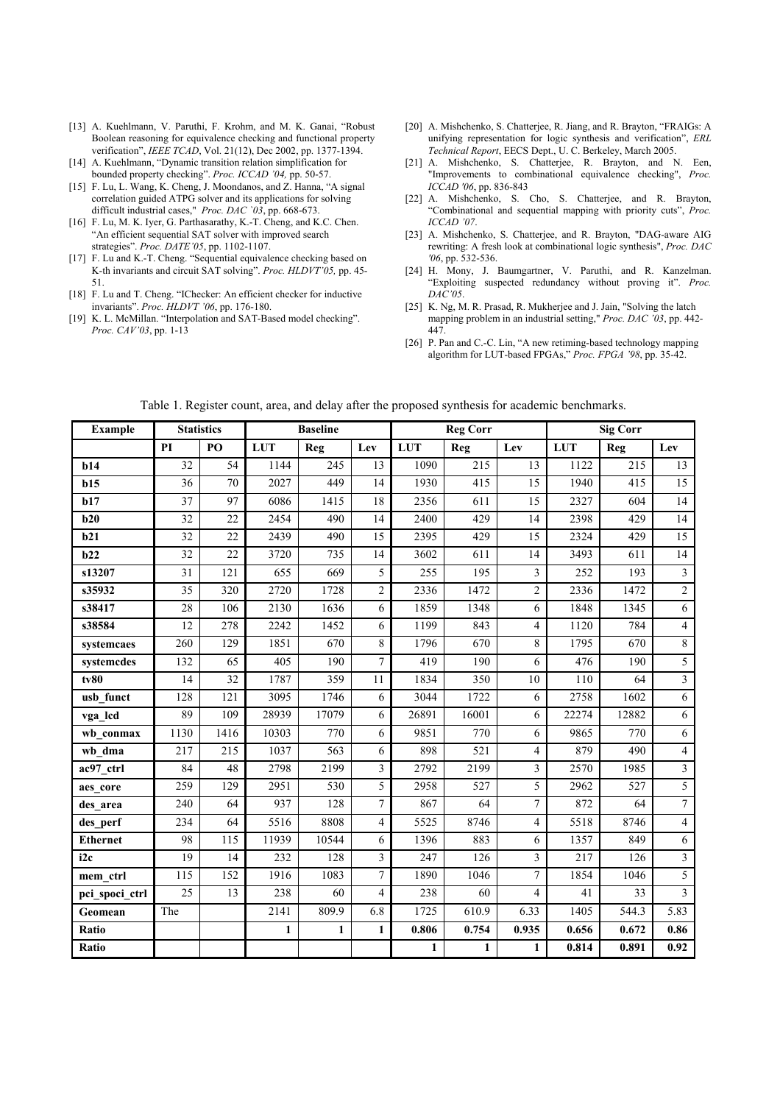- [13] A. Kuehlmann, V. Paruthi, F. Krohm, and M. K. Ganai, "Robust Boolean reasoning for equivalence checking and functional property verification", *IEEE TCAD*, Vol. 21(12), Dec 2002, pp. 1377-1394.
- [14] A. Kuehlmann, "Dynamic transition relation simplification for bounded property checking". *Proc. ICCAD '04,* pp. 50-57.
- [15] F. Lu, L. Wang, K. Cheng, J. Moondanos, and Z. Hanna, "A signal correlation guided ATPG solver and its applications for solving difficult industrial cases," *Proc. DAC `03*, pp. 668-673.
- [16] F. Lu, M. K. Iyer, G. Parthasarathy, K.-T. Cheng, and K.C. Chen. "An efficient sequential SAT solver with improved search strategies". *Proc. DATE'05*, pp. 1102-1107.
- [17] F. Lu and K.-T. Cheng. "Sequential equivalence checking based on K-th invariants and circuit SAT solving". *Proc. HLDVT'05,* pp. 45- 51.
- [18] F. Lu and T. Cheng. "IChecker: An efficient checker for inductive invariants". *Proc. HLDVT '06*, pp. 176-180.
- [19] K. L. McMillan. "Interpolation and SAT-Based model checking". *Proc. CAV'03*, pp. 1-13
- [20] A. Mishchenko, S. Chatterjee, R. Jiang, and R. Brayton, "FRAIGs: A unifying representation for logic synthesis and verification", *ERL Technical Report*, EECS Dept., U. C. Berkeley, March 2005.
- [21] A. Mishchenko, S. Chatterjee, R. Brayton, and N. Een, "Improvements to combinational equivalence checking", *Proc. ICCAD '06*, pp. 836-843
- [22] A. Mishchenko, S. Cho, S. Chatterjee, and R. Brayton, "Combinational and sequential mapping with priority cuts", *Proc. ICCAD '07*.
- [23] A. Mishchenko, S. Chatterjee, and R. Brayton, "DAG-aware AIG rewriting: A fresh look at combinational logic synthesis", *Proc. DAC '06*, pp. 532-536.
- [24] H. Mony, J. Baumgartner, V. Paruthi, and R. Kanzelman. "Exploiting suspected redundancy without proving it". *Proc. DAC'05*.
- [25] K. Ng, M. R. Prasad, R. Mukherjee and J. Jain, "Solving the latch mapping problem in an industrial setting," *Proc. DAC '03*, pp. 442- 447.
- [26] P. Pan and C.-C. Lin, "A new retiming-based technology mapping algorithm for LUT-based FPGAs," *Proc. FPGA '98*, pp. 35-42.

| <b>Example</b>  | <b>Statistics</b> |                  | <b>Baseline</b> |       |                |            | <b>Reg Corr</b> |                | <b>Sig Corr</b> |       |                         |
|-----------------|-------------------|------------------|-----------------|-------|----------------|------------|-----------------|----------------|-----------------|-------|-------------------------|
|                 | PI                | PO               | <b>LUT</b>      | Reg   | Lev            | <b>LUT</b> | Reg             | Lev            | <b>LUT</b>      | Reg   | Lev                     |
| b14             | 32                | 54               | 1144            | 245   | 13             | 1090       | 215             | 13             | 1122            | 215   | 13                      |
| b15             | 36                | 70               | 2027            | 449   | 14             | 1930       | 415             | 15             | 1940            | 415   | $\overline{15}$         |
| b17             | 37                | 97               | 6086            | 1415  | 18             | 2356       | 611             | 15             | 2327            | 604   | 14                      |
| b20             | 32                | 22               | 2454            | 490   | 14             | 2400       | 429             | 14             | 2398            | 429   | 14                      |
| b21             | 32                | 22               | 2439            | 490   | 15             | 2395       | 429             | 15             | 2324            | 429   | 15                      |
| b22             | 32                | 22               | 3720            | 735   | 14             | 3602       | 611             | 14             | 3493            | 611   | 14                      |
| s13207          | 31                | 121              | 655             | 669   | 5              | 255        | 195             | 3              | 252             | 193   | $\overline{\mathbf{3}}$ |
| s35932          | 35                | 320              | 2720            | 1728  | $\overline{c}$ | 2336       | 1472            | $\overline{2}$ | 2336            | 1472  | $\overline{2}$          |
| s38417          | 28                | 106              | 2130            | 1636  | 6              | 1859       | 1348            | 6              | 1848            | 1345  | 6                       |
| s38584          | 12                | 278              | 2242            | 1452  | 6              | 1199       | 843             | $\overline{4}$ | 1120            | 784   | $\overline{4}$          |
| systemcaes      | 260               | 129              | 1851            | 670   | 8              | 1796       | 670             | 8              | 1795            | 670   | $8\,$                   |
| systemcdes      | 132               | 65               | 405             | 190   | $\overline{7}$ | 419        | 190             | 6              | 476             | 190   | 5                       |
| tv80            | 14                | 32               | 1787            | 359   | 11             | 1834       | 350             | 10             | 110             | 64    | $\overline{\mathbf{3}}$ |
| usb_funct       | 128               | $\overline{121}$ | 3095            | 1746  | 6              | 3044       | 1722            | 6              | 2758            | 1602  | $\overline{6}$          |
| vga_lcd         | 89                | 109              | 28939           | 17079 | 6              | 26891      | 16001           | 6              | 22274           | 12882 | 6                       |
| wb conmax       | 1130              | 1416             | 10303           | 770   | 6              | 9851       | 770             | 6              | 9865            | 770   | 6                       |
| wb dma          | 217               | 215              | 1037            | 563   | 6              | 898        | 521             | 4              | 879             | 490   | $\overline{4}$          |
| ac97 ctrl       | 84                | 48               | 2798            | 2199  | 3              | 2792       | 2199            | 3              | 2570            | 1985  | $\overline{\mathbf{3}}$ |
| aes core        | 259               | 129              | 2951            | 530   | 5              | 2958       | 527             | 5              | 2962            | 527   | 5                       |
| des area        | 240               | 64               | 937             | 128   | $\overline{7}$ | 867        | 64              | $\tau$         | 872             | 64    | $\tau$                  |
| des_perf        | 234               | 64               | 5516            | 8808  | $\overline{4}$ | 5525       | 8746            | $\overline{4}$ | 5518            | 8746  | $\overline{4}$          |
| <b>Ethernet</b> | 98                | 115              | 11939           | 10544 | 6              | 1396       | 883             | 6              | 1357            | 849   | 6                       |
| i2c             | 19                | 14               | 232             | 128   | 3              | 247        | 126             | 3              | 217             | 126   | $\overline{\mathbf{3}}$ |
| mem_ctrl        | 115               | 152              | 1916            | 1083  | 7              | 1890       | 1046            | 7              | 1854            | 1046  | $\overline{5}$          |
| pci spoci ctrl  | 25                | 13               | 238             | 60    | $\overline{4}$ | 238        | 60              | $\overline{4}$ | 41              | 33    | $\overline{\mathbf{3}}$ |
| Geomean         | The               |                  | 2141            | 809.9 | 6.8            | 1725       | 610.9           | 6.33           | 1405            | 544.3 | 5.83                    |
| Ratio           |                   |                  | 1               | 1     | 1              | 0.806      | 0.754           | 0.935          | 0.656           | 0.672 | 0.86                    |
| Ratio           |                   |                  |                 |       |                | 1          | $\mathbf{1}$    | 1              | 0.814           | 0.891 | 0.92                    |

Table 1. Register count, area, and delay after the proposed synthesis for academic benchmarks.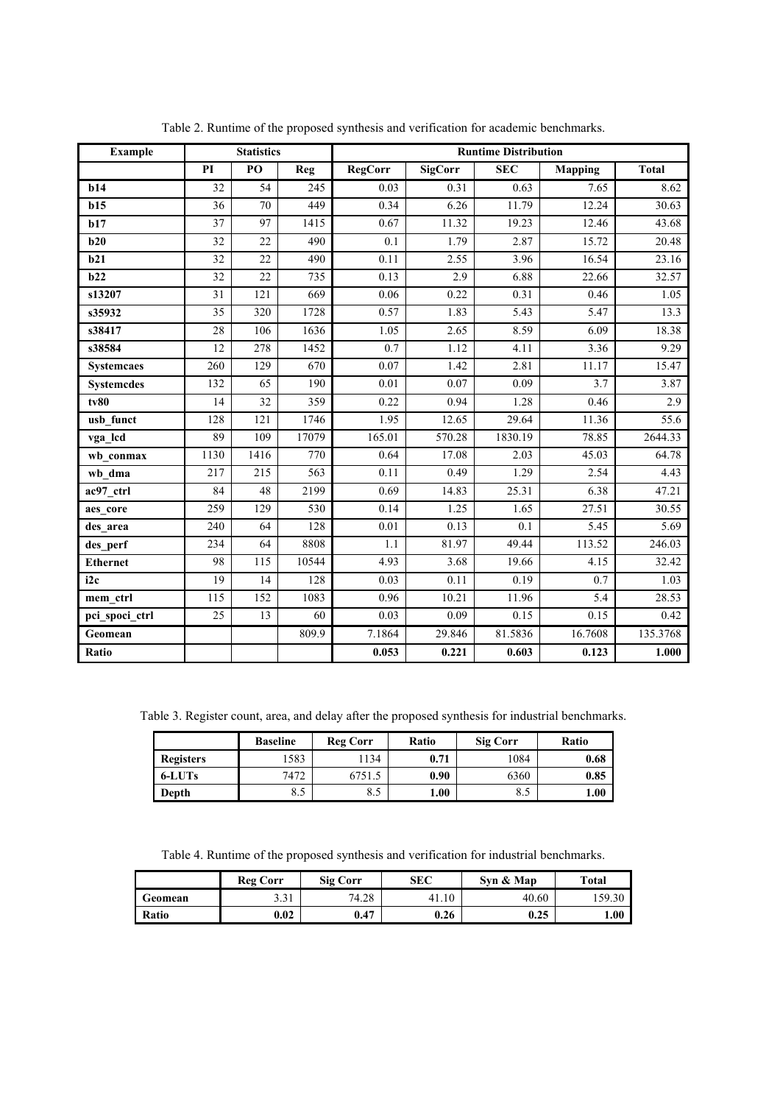| <b>Example</b>    |                 | <b>Statistics</b> |            | <b>Runtime Distribution</b> |                |            |                |              |  |  |
|-------------------|-----------------|-------------------|------------|-----------------------------|----------------|------------|----------------|--------------|--|--|
|                   | PI              | PO                | <b>Reg</b> | <b>RegCorr</b>              | <b>SigCorr</b> | <b>SEC</b> | <b>Mapping</b> | <b>Total</b> |  |  |
| b14               | 32              | 54                | 245        | 0.03                        | 0.31           | 0.63       | 7.65           | 8.62         |  |  |
| b15               | 36              | 70                | 449        | 0.34                        | 6.26           | 11.79      | 12.24          | 30.63        |  |  |
| b17               | 37              | 97                | 1415       | 0.67                        | 11.32          | 19.23      | 12.46          | 43.68        |  |  |
| b20               | 32              | 22                | 490        | 0.1                         | 1.79           | 2.87       | 15.72          | 20.48        |  |  |
| b21               | $\overline{32}$ | 22                | 490        | 0.11                        | 2.55           | 3.96       | 16.54          | 23.16        |  |  |
| b22               | $\overline{32}$ | $22\,$            | 735        | 0.13                        | 2.9            | 6.88       | 22.66          | 32.57        |  |  |
| s13207            | 31              | 121               | 669        | 0.06                        | 0.22           | 0.31       | 0.46           | 1.05         |  |  |
| s35932            | 35              | 320               | 1728       | 0.57                        | 1.83           | 5.43       | 5.47           | 13.3         |  |  |
| s38417            | 28              | 106               | 1636       | 1.05                        | 2.65           | 8.59       | 6.09           | 18.38        |  |  |
| s38584            | 12              | 278               | 1452       | 0.7                         | 1.12           | 4.11       | 3.36           | 9.29         |  |  |
| <b>Systemcaes</b> | 260             | 129               | 670        | 0.07                        | 1.42           | 2.81       | 11.17          | 15.47        |  |  |
| <b>Systemcdes</b> | 132             | 65                | 190        | 0.01                        | 0.07           | 0.09       | 3.7            | 3.87         |  |  |
| tv80              | 14              | 32                | 359        | 0.22                        | 0.94           | 1.28       | 0.46           | 2.9          |  |  |
| usb funct         | 128             | 121               | 1746       | 1.95                        | 12.65          | 29.64      | 11.36          | 55.6         |  |  |
| vga_lcd           | 89              | 109               | 17079      | 165.01                      | 570.28         | 1830.19    | 78.85          | 2644.33      |  |  |
| wb conmax         | 1130            | 1416              | 770        | 0.64                        | 17.08          | 2.03       | 45.03          | 64.78        |  |  |
| wb dma            | 217             | 215               | 563        | 0.11                        | 0.49           | 1.29       | 2.54           | 4.43         |  |  |
| ac97_ctrl         | 84              | 48                | 2199       | 0.69                        | 14.83          | 25.31      | 6.38           | 47.21        |  |  |
| aes_core          | 259             | 129               | 530        | 0.14                        | 1.25           | 1.65       | 27.51          | 30.55        |  |  |
| des_area          | 240             | 64                | 128        | 0.01                        | 0.13           | 0.1        | 5.45           | 5.69         |  |  |
| des perf          | 234             | 64                | 8808       | 1.1                         | 81.97          | 49.44      | 113.52         | 246.03       |  |  |
| <b>Ethernet</b>   | 98              | 115               | 10544      | 4.93                        | 3.68           | 19.66      | 4.15           | 32.42        |  |  |
| i2c               | 19              | 14                | 128        | 0.03                        | 0.11           | 0.19       | 0.7            | 1.03         |  |  |
| mem ctrl          | 115             | 152               | 1083       | 0.96                        | 10.21          | 11.96      | 5.4            | 28.53        |  |  |
| pci spoci ctrl    | 25              | 13                | 60         | 0.03                        | 0.09           | 0.15       | 0.15           | 0.42         |  |  |
| Geomean           |                 |                   | 809.9      | 7.1864                      | 29.846         | 81.5836    | 16.7608        | 135.3768     |  |  |
| Ratio             |                 |                   |            | 0.053                       | 0.221          | 0.603      | 0.123          | 1.000        |  |  |

Table 2. Runtime of the proposed synthesis and verification for academic benchmarks.

Table 3. Register count, area, and delay after the proposed synthesis for industrial benchmarks.

|                  | <b>Baseline</b> | <b>Reg Corr</b> | Ratio | <b>Sig Corr</b> | Ratio |
|------------------|-----------------|-----------------|-------|-----------------|-------|
| <b>Registers</b> | 1583            | 1134            | 0.71  | 1084            | 0.68  |
| 6-LUTs           | 7472            | 6751.5          | 0.90  | 6360            | 0.85  |
| Depth            | 8.5             | 8.5             | 1.00  | 8.5             | 1.00  |

Table 4. Runtime of the proposed synthesis and verification for industrial benchmarks.

|         | <b>Reg Corr</b> | <b>Sig Corr</b> | SEC   | $\text{Syn } \& \text{Map}$ | Total    |
|---------|-----------------|-----------------|-------|-----------------------------|----------|
| Geomean | າ າ 1<br>J.J 1  | 74.28           | 41.10 | 40.60                       | 159.30   |
| Ratio   | 0.02            | 0.47            | 0.26  | 0.25                        | $1.00\,$ |